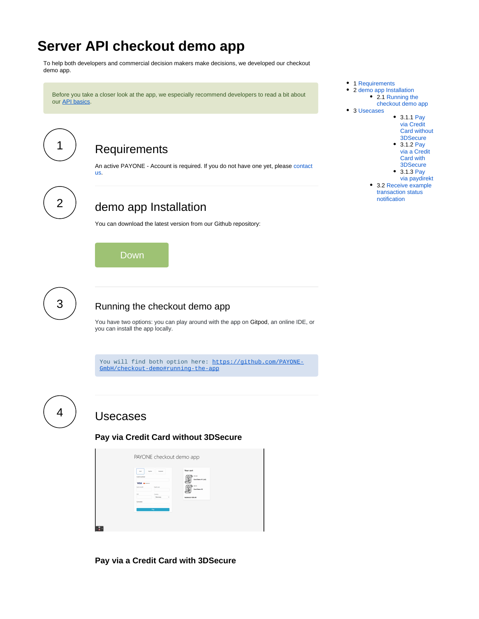# **Server API checkout demo app**

To help both developers and commercial decision makers make decisions, we developed our checkout demo app.

Before you take a closer look at the app, we especially recommend developers to read a bit about our [API basics](https://docs.payone.com/pages/viewpage.action?pageId=1213896).

<span id="page-0-0"></span>

### **Requirements**

An active PAYONE - Account is required. If you do not have one yet, please [contact](https://docs.payone.com/display/PLATFORM/Contact)  [us](https://docs.payone.com/display/PLATFORM/Contact).

<span id="page-0-1"></span>

## demo app Installation

You can download the latest version from our Github repository:

Down

<span id="page-0-2"></span>

#### Running the checkout demo app

You have two options: you can play around with the app on Gitpod, an online IDE, or you can install the app locally.

You will find both option here: [https://github.com/PAYONE-](https://github.com/PAYONE-GmbH/checkout-demo#running-the-app)[GmbH/checkout-demo#running-the-app](https://github.com/PAYONE-GmbH/checkout-demo#running-the-app)

<span id="page-0-4"></span><span id="page-0-3"></span>

## Usecases

**Pay via Credit Card without 3DSecure**

| Cent                | Pedrat<br>Paulmid     | Your cart<br>415.00             |  |
|---------------------|-----------------------|---------------------------------|--|
| Card number<br>VISA |                       | Cool item #1 (x2)               |  |
| <b>Sales month</b>  | <b>Builder conter</b> | 48.40<br>☺<br>Cool item #2<br>÷ |  |
| or.                 | Country               |                                 |  |
| Sumarre             | Germany<br>×          | Subtotal: £38.40                |  |
|                     |                       |                                 |  |
|                     | Pay                   |                                 |  |

<span id="page-0-5"></span>**Pay via a Credit Card with 3DSecure**

- 1 [Requirements](#page-0-0) • 2 [demo app Installation](#page-0-1) • 2.1 Running the [checkout demo app](#page-0-2) 3 [Usecases](#page-0-3) 3.1.1 [Pay](#page-0-4)  [via Credit](#page-0-4)  [Card without](#page-0-4) 
	- [3DSecure](#page-0-4) • 3.1.2 Pay [via a Credit](#page-0-5)
	- [Card with](#page-0-5)  [3DSecure](#page-0-5) 3.1.3 [Pay](#page-1-0)
	- [via paydirekt](#page-1-0)
	- 3.2 [Receive example](#page-1-1)  [transaction status](#page-1-1)  [notification](#page-1-1)